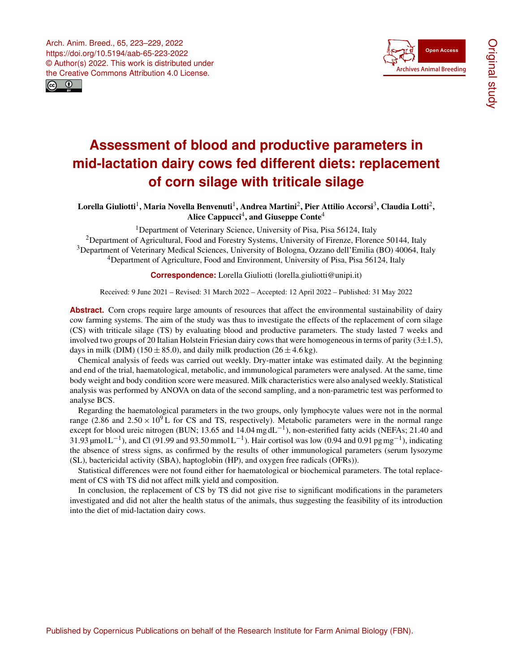



# **Assessment of blood and productive parameters in mid-lactation dairy cows fed different diets: replacement of corn silage with triticale silage**

 ${\rm Lorent}$ la Giuliotti $^1,$  $^1,$  $^1,$  Maria Novella Benvenuti $^1,$  Andrea Martini $^2,$  $^2,$  $^2,$  Pier Attilio Accorsi $^3,$  $^3,$  $^3,$  Claudia Lotti $^2,$ Alice Cappucci $^4$  $^4$ , and Giuseppe Conte $^4$ 

<sup>1</sup>Department of Veterinary Science, University of Pisa, Pisa 56124, Italy <sup>2</sup>Department of Agricultural, Food and Forestry Systems, University of Firenze, Florence 50144, Italy <sup>3</sup>Department of Veterinary Medical Sciences, University of Bologna, Ozzano dell'Emilia (BO) 40064, Italy <sup>4</sup>Department of Agriculture, Food and Environment, University of Pisa, Pisa 56124, Italy

**Correspondence:** Lorella Giuliotti (lorella.giuliotti@unipi.it)

Received: 9 June 2021 – Revised: 31 March 2022 – Accepted: 12 April 2022 – Published: 31 May 2022

Abstract. Corn crops require large amounts of resources that affect the environmental sustainability of dairy cow farming systems. The aim of the study was thus to investigate the effects of the replacement of corn silage (CS) with triticale silage (TS) by evaluating blood and productive parameters. The study lasted 7 weeks and involved two groups of 20 Italian Holstein Friesian dairy cows that were homogeneous in terms of parity  $(3\pm 1.5)$ , days in milk (DIM) (150  $\pm$  85.0), and daily milk production (26  $\pm$  4.6 kg).

Chemical analysis of feeds was carried out weekly. Dry-matter intake was estimated daily. At the beginning and end of the trial, haematological, metabolic, and immunological parameters were analysed. At the same, time body weight and body condition score were measured. Milk characteristics were also analysed weekly. Statistical analysis was performed by ANOVA on data of the second sampling, and a non-parametric test was performed to analyse BCS.

Regarding the haematological parameters in the two groups, only lymphocyte values were not in the normal range (2.86 and  $2.50 \times 10^9$  L for CS and TS, respectively). Metabolic parameters were in the normal range except for blood ureic nitrogen (BUN; 13.65 and  $14.04 \text{ mg} \cdot dL^{-1}$ ), non-esterified fatty acids (NEFAs; 21.40 and 31.93 μmol L<sup>-1</sup>), and Cl (91.99 and 93.50 mmol L<sup>-1</sup>). Hair cortisol was low (0.94 and 0.91 pg mg<sup>-1</sup>), indicating the absence of stress signs, as confirmed by the results of other immunological parameters (serum lysozyme (SL), bactericidal activity (SBA), haptoglobin (HP), and oxygen free radicals (OFRs)).

Statistical differences were not found either for haematological or biochemical parameters. The total replacement of CS with TS did not affect milk yield and composition.

<span id="page-0-0"></span>In conclusion, the replacement of CS by TS did not give rise to significant modifications in the parameters investigated and did not alter the health status of the animals, thus suggesting the feasibility of its introduction into the diet of mid-lactation dairy cows.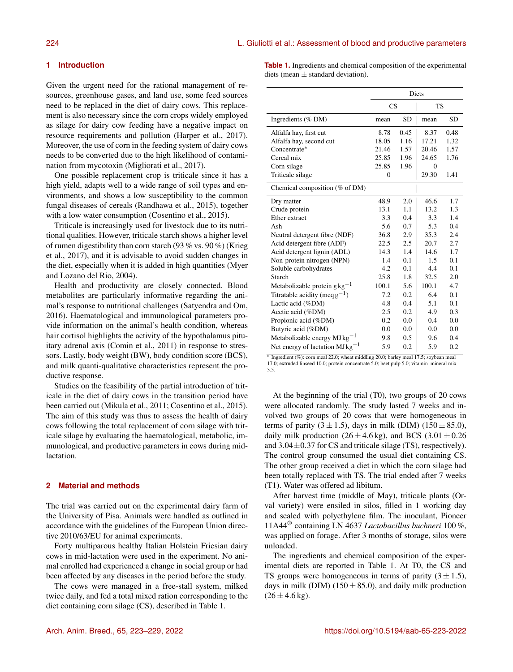# **1 Introduction**

Given the urgent need for the rational management of resources, greenhouse gases, and land use, some feed sources need to be replaced in the diet of dairy cows. This replacement is also necessary since the corn crops widely employed as silage for dairy cow feeding have a negative impact on resource requirements and pollution (Harper et al., 2017). Moreover, the use of corn in the feeding system of dairy cows needs to be converted due to the high likelihood of contamination from mycotoxin (Migliorati et al., 2017).

One possible replacement crop is triticale since it has a high yield, adapts well to a wide range of soil types and environments, and shows a low susceptibility to the common fungal diseases of cereals (Randhawa et al., 2015), together with a low water consumption (Cosentino et al., 2015).

Triticale is increasingly used for livestock due to its nutritional qualities. However, triticale starch shows a higher level of rumen digestibility than corn starch (93 % vs. 90 %) (Krieg et al., 2017), and it is advisable to avoid sudden changes in the diet, especially when it is added in high quantities (Myer and Lozano del Rio, 2004).

Health and productivity are closely connected. Blood metabolites are particularly informative regarding the animal's response to nutritional challenges (Satyendra and Om, 2016). Haematological and immunological parameters provide information on the animal's health condition, whereas hair cortisol highlights the activity of the hypothalamus pituitary adrenal axis (Comin et al., 2011) in response to stressors. Lastly, body weight (BW), body condition score (BCS), and milk quanti-qualitative characteristics represent the productive response.

Studies on the feasibility of the partial introduction of triticale in the diet of dairy cows in the transition period have been carried out (Mikula et al., 2011; Cosentino et al., 2015). The aim of this study was thus to assess the health of dairy cows following the total replacement of corn silage with triticale silage by evaluating the haematological, metabolic, immunological, and productive parameters in cows during midlactation.

# **2 Material and methods**

The trial was carried out on the experimental dairy farm of the University of Pisa. Animals were handled as outlined in accordance with the guidelines of the European Union directive 2010/63/EU for animal experiments.

Forty multiparous healthy Italian Holstein Friesian dairy cows in mid-lactation were used in the experiment. No animal enrolled had experienced a change in social group or had been affected by any diseases in the period before the study.

The cows were managed in a free-stall system, milked twice daily, and fed a total mixed ration corresponding to the diet containing corn silage (CS), described in Table 1.

**Table 1.** Ingredients and chemical composition of the experimental diets (mean  $\pm$  standard deviation).

|                                     | <b>Diets</b> |           |                |      |
|-------------------------------------|--------------|-----------|----------------|------|
|                                     | <b>CS</b>    |           | TS             |      |
| Ingredients $(\%$ DM)               | mean         | <b>SD</b> | mean           | SD   |
| Alfalfa hay, first cut              | 8.78         | 0.45      | 8.37           | 0.48 |
| Alfalfa hay, second cut             | 18.05        | 1.16      | 17.21          | 1.32 |
| Concentrate*                        | 21.46        | 1.57      | 20.46          | 1.57 |
| Cereal mix                          | 25.85        | 1.96      | 24.65          | 1.76 |
| Corn silage                         | 25.85        | 1.96      | $\overline{0}$ |      |
| Triticale silage                    | $\theta$     |           | 29.30          | 1.41 |
| Chemical composition $(\%$ of DM)   |              |           |                |      |
| Dry matter                          | 48.9         | 2.0       | 46.6           | 1.7  |
| Crude protein                       | 13.1         | 1.1       | 13.2           | 1.3  |
| Ether extract                       | 3.3          | 0.4       | 3.3            | 1.4  |
| Ash                                 | 5.6          | 0.7       | 5.3            | 0.4  |
| Neutral detergent fibre (NDF)       | 36.8         | 2.9       | 35.3           | 2.4  |
| Acid detergent fibre (ADF)          | 22.5         | 2.5       | 20.7           | 2.7  |
| Acid detergent lignin (ADL)         | 14.3         | 1.4       | 14.6           | 1.7  |
| Non-protein nitrogen (NPN)          | 1.4          | 0.1       | 1.5            | 0.1  |
| Soluble carbohydrates               | 4.2          | 0.1       | 4.4            | 0.1  |
| Starch                              | 25.8         | 1.8       | 32.5           | 2.0  |
| Metabolizable protein $gkg^{-1}$    | 100.1        | 5.6       | 100.1          | 4.7  |
| Titratable acidity (meq $g^{-1}$ )  | 7.2          | 0.2       | 6.4            | 0.1  |
| Lactic acid (%DM)                   | 4.8          | 0.4       | 5.1            | 0.1  |
| Acetic acid (%DM)                   | 2.5          | 0.2       | 4.9            | 0.3  |
| Propionic acid (%DM)                | 0.2          | 0.0       | 0.4            | 0.0  |
| Butyric acid (%DM)                  | 0.0          | 0.0       | 0.0            | 0.0  |
| Metabolizable energy $MJ kg^{-1}$   | 9.8          | 0.5       | 9.6            | 0.4  |
| Net energy of lactation $MJkg^{-1}$ | 5.9          | 0.2       | 5.9            | 0.2  |

∗ Ingredient (%): corn meal 22.0; wheat middling 20.0; barley meal 17.5; soybean meal 17.0; extruded linseed 10.0; protein concentrate 5.0; beet pulp 5.0; vitamin–mineral mix 3.5.

At the beginning of the trial (T0), two groups of 20 cows were allocated randomly. The study lasted 7 weeks and involved two groups of 20 cows that were homogeneous in terms of parity  $(3 \pm 1.5)$ , days in milk (DIM)  $(150 \pm 85.0)$ , daily milk production  $(26 \pm 4.6 \text{ kg})$ , and BCS  $(3.01 \pm 0.26$ and  $3.04\pm0.37$  for CS and triticale silage (TS), respectively). The control group consumed the usual diet containing CS. The other group received a diet in which the corn silage had been totally replaced with TS. The trial ended after 7 weeks (T1). Water was offered ad libitum.

After harvest time (middle of May), triticale plants (Orval variety) were ensiled in silos, filled in 1 working day and sealed with polyethylene film. The inoculant, Pioneer 11A44® containing LN 4637 *Lactobacillus buchneri* 100 %, was applied on forage. After 3 months of storage, silos were unloaded.

The ingredients and chemical composition of the experimental diets are reported in Table 1. At T0, the CS and TS groups were homogeneous in terms of parity  $(3 \pm 1.5)$ , days in milk (DIM) (150  $\pm$  85.0), and daily milk production  $(26 \pm 4.6 \text{ kg}).$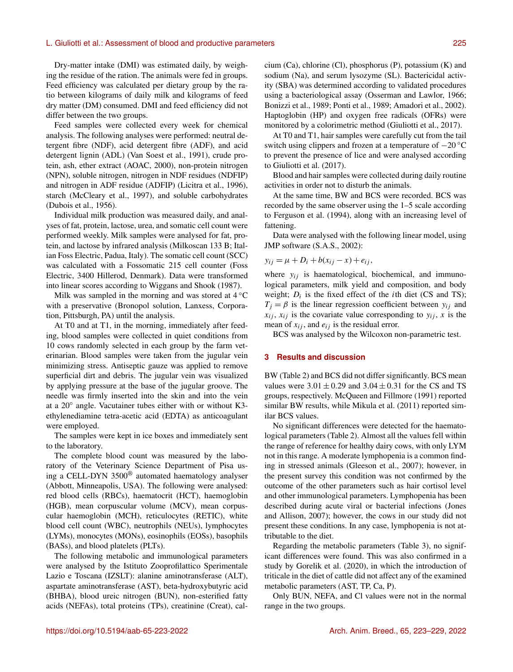# L. Giuliotti et al.: Assessment of blood and productive parameters 225

Dry-matter intake (DMI) was estimated daily, by weighing the residue of the ration. The animals were fed in groups. Feed efficiency was calculated per dietary group by the ratio between kilograms of daily milk and kilograms of feed dry matter (DM) consumed. DMI and feed efficiency did not differ between the two groups.

Feed samples were collected every week for chemical analysis. The following analyses were performed: neutral detergent fibre (NDF), acid detergent fibre (ADF), and acid detergent lignin (ADL) (Van Soest et al., 1991), crude protein, ash, ether extract (AOAC, 2000), non-protein nitrogen (NPN), soluble nitrogen, nitrogen in NDF residues (NDFIP) and nitrogen in ADF residue (ADFIP) (Licitra et al., 1996), starch (McCleary et al., 1997), and soluble carbohydrates (Dubois et al., 1956).

Individual milk production was measured daily, and analyses of fat, protein, lactose, urea, and somatic cell count were performed weekly. Milk samples were analysed for fat, protein, and lactose by infrared analysis (Milkoscan 133 B; Italian Foss Electric, Padua, Italy). The somatic cell count (SCC) was calculated with a Fossomatic 215 cell counter (Foss Electric, 3400 Hillerod, Denmark). Data were transformed into linear scores according to Wiggans and Shook (1987).

Milk was sampled in the morning and was stored at  $4^{\circ}$ C with a preservative (Bronopol solution, Lanxess, Corporation, Pittsburgh, PA) until the analysis.

At T0 and at T1, in the morning, immediately after feeding, blood samples were collected in quiet conditions from 10 cows randomly selected in each group by the farm veterinarian. Blood samples were taken from the jugular vein minimizing stress. Antiseptic gauze was applied to remove superficial dirt and debris. The jugular vein was visualized by applying pressure at the base of the jugular groove. The needle was firmly inserted into the skin and into the vein at a 20◦ angle. Vacutainer tubes either with or without K3 ethylenediamine tetra-acetic acid (EDTA) as anticoagulant were employed.

The samples were kept in ice boxes and immediately sent to the laboratory.

The complete blood count was measured by the laboratory of the Veterinary Science Department of Pisa using a CELL-DYN 3500® automated haematology analyser (Abbott, Minneapolis, USA). The following were analysed: red blood cells (RBCs), haematocrit (HCT), haemoglobin (HGB), mean corpuscular volume (MCV), mean corpuscular haemoglobin (MCH), reticulocytes (RETIC), white blood cell count (WBC), neutrophils (NEUs), lymphocytes (LYMs), monocytes (MONs), eosinophils (EOSs), basophils (BASs), and blood platelets (PLTs).

The following metabolic and immunological parameters were analysed by the Istituto Zooprofilattico Sperimentale Lazio e Toscana (IZSLT): alanine aminotransferase (ALT), aspartate aminotransferase (AST), beta-hydroxybutyric acid (BHBA), blood ureic nitrogen (BUN), non-esterified fatty acids (NEFAs), total proteins (TPs), creatinine (Creat), calcium (Ca), chlorine (Cl), phosphorus (P), potassium (K) and sodium (Na), and serum lysozyme (SL). Bactericidal activity (SBA) was determined according to validated procedures using a bacteriological assay (Osserman and Lawlor, 1966; Bonizzi et al., 1989; Ponti et al., 1989; Amadori et al., 2002). Haptoglobin (HP) and oxygen free radicals (OFRs) were monitored by a colorimetric method (Giuliotti et al., 2017).

At T0 and T1, hair samples were carefully cut from the tail switch using clippers and frozen at a temperature of  $-20^{\circ}$ C to prevent the presence of lice and were analysed according to Giuliotti et al. (2017).

Blood and hair samples were collected during daily routine activities in order not to disturb the animals.

At the same time, BW and BCS were recorded. BCS was recorded by the same observer using the 1–5 scale according to Ferguson et al. (1994), along with an increasing level of fattening.

Data were analysed with the following linear model, using JMP software (S.A.S., 2002):

$$
y_{ij} = \mu + D_i + b(x_{ij} - x) + e_{ij},
$$

where  $y_{ij}$  is haematological, biochemical, and immunological parameters, milk yield and composition, and body weight;  $D_i$  is the fixed effect of the *i*th diet (CS and TS);  $T_i = \beta$  is the linear regression coefficient between  $y_{ij}$  and  $x_{ij}$ ,  $x_{ij}$  is the covariate value corresponding to  $y_{ij}$ , x is the mean of  $x_{ij}$ , and  $e_{ij}$  is the residual error.

BCS was analysed by the Wilcoxon non-parametric test.

#### **3 Results and discussion**

BW (Table 2) and BCS did not differ significantly. BCS mean values were  $3.01 \pm 0.29$  and  $3.04 \pm 0.31$  for the CS and TS groups, respectively. McQueen and Fillmore (1991) reported similar BW results, while Mikula et al. (2011) reported similar BCS values.

No significant differences were detected for the haematological parameters (Table 2). Almost all the values fell within the range of reference for healthy dairy cows, with only LYM not in this range. A moderate lymphopenia is a common finding in stressed animals (Gleeson et al., 2007); however, in the present survey this condition was not confirmed by the outcome of the other parameters such as hair cortisol level and other immunological parameters. Lymphopenia has been described during acute viral or bacterial infections (Jones and Allison, 2007); however, the cows in our study did not present these conditions. In any case, lymphopenia is not attributable to the diet.

Regarding the metabolic parameters (Table 3), no significant differences were found. This was also confirmed in a study by Gorelik et al. (2020), in which the introduction of triticale in the diet of cattle did not affect any of the examined metabolic parameters (AST, TP, Ca, P).

Only BUN, NEFA, and Cl values were not in the normal range in the two groups.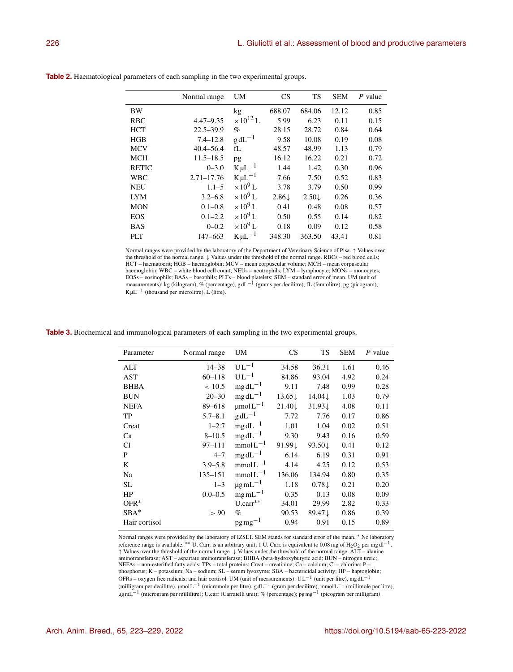|              | Normal range   | <b>UM</b>          | <b>CS</b>        | <b>TS</b>        | <b>SEM</b> | P value |
|--------------|----------------|--------------------|------------------|------------------|------------|---------|
| <b>BW</b>    |                | kg                 | 688.07           | 684.06           | 12.12      | 0.85    |
| <b>RBC</b>   | $4.47 - 9.35$  | $\times 10^{12}$ L | 5.99             | 6.23             | 0.11       | 0.15    |
| <b>HCT</b>   | $22.5 - 39.9$  | $\%$               | 28.15            | 28.72            | 0.84       | 0.64    |
| HGB          | $7.4 - 12.8$   | $g dL^{-1}$        | 9.58             | 10.08            | 0.19       | 0.08    |
| <b>MCV</b>   | $40.4 - 56.4$  | fL                 | 48.57            | 48.99            | 1.13       | 0.79    |
| <b>MCH</b>   | $11.5 - 18.5$  | pg                 | 16.12            | 16.22            | 0.21       | 0.72    |
| <b>RETIC</b> | $0 - 3.0$      | $K\mu L^{-1}$      | 1.44             | 1.42             | 0.30       | 0.96    |
| <b>WBC</b>   | $2.71 - 17.76$ | $K\mu L^{-1}$      | 7.66             | 7.50             | 0.52       | 0.83    |
| <b>NEU</b>   | $1.1 - 5$      | $\times 10^9$ L    | 3.78             | 3.79             | 0.50       | 0.99    |
| <b>LYM</b>   | $3.2 - 6.8$    | $\times 10^9$ L    | $2.86\downarrow$ | $2.50\downarrow$ | 0.26       | 0.36    |
| <b>MON</b>   | $0.1 - 0.8$    | $\times 10^9$ L    | 0.41             | 0.48             | 0.08       | 0.57    |
| <b>EOS</b>   | $0.1 - 2.2$    | $\times 10^9$ L    | 0.50             | 0.55             | 0.14       | 0.82    |
| <b>BAS</b>   | $0 - 0.2$      | $\times 10^9$ L    | 0.18             | 0.09             | 0.12       | 0.58    |
| <b>PLT</b>   | 147-663        | $K\mu L^{-1}$      | 348.30           | 363.50           | 43.41      | 0.81    |

**Table 2.** Haematological parameters of each sampling in the two experimental groups.

Normal ranges were provided by the laboratory of the Department of Veterinary Science of Pisa. ↑ Values over the threshold of the normal range. ↓ Values under the threshold of the normal range. RBCs – red blood cells; HCT – haematocrit; HGB – haemoglobin; MCV – mean corpuscular volume; MCH – mean corpuscular haemoglobin; WBC – white blood cell count; NEUs – neutrophils; LYM – lymphocyte; MONs – monocytes; EOSs – eosinophils; BASs – basophils; PLTs – blood platelets; SEM – standard error of mean. UM (unit of measurements): kg (kilogram), % (percentage), g dL<sup>-1</sup> (grams per decilitre), fL (femtolitre), pg (picogram),  $K \mu L^{-1}$  (thousand per microlitre), L (litre).

**Table 3.** Biochemical and immunological parameters of each sampling in the two experimental groups.

| Parameter     | Normal range | UM                 | <b>CS</b>         | <b>TS</b>         | <b>SEM</b> | $P$ value |
|---------------|--------------|--------------------|-------------------|-------------------|------------|-----------|
| ALT           | $14 - 38$    | $UL^{-1}$          | 34.58             | 36.31             | 1.61       | 0.46      |
| AST           | $60 - 118$   | $UL^{-1}$          | 84.86             | 93.04             | 4.92       | 0.24      |
| <b>BHBA</b>   | < 10.5       | $mg \, dL^{-1}$    | 9.11              | 7.48              | 0.99       | 0.28      |
| <b>BUN</b>    | $20 - 30$    | $mg \, dL^{-1}$    | $13.65\downarrow$ | 14.04↓            | 1.03       | 0.79      |
| <b>NEFA</b>   | 89-618       | $\mu$ mol $L^{-1}$ | $21.40\downarrow$ | $31.93\downarrow$ | 4.08       | 0.11      |
| TP            | $5.7 - 8.1$  | $g dL^{-1}$        | 7.72              | 7.76              | 0.17       | 0.86      |
| Creat         | $1 - 2.7$    | $mg \, dL^{-1}$    | 1.01              | 1.04              | 0.02       | 0.51      |
| Ca            | $8 - 10.5$   | $mg dL^{-1}$       | 9.30              | 9.43              | 0.16       | 0.59      |
| Cl            | $97 - 111$   | $mmolL^{-1}$       | 91.99↓            | 93.50↓            | 0.41       | 0.12      |
| P             | $4 - 7$      | $mg \, dL^{-1}$    | 6.14              | 6.19              | 0.31       | 0.91      |
| K             | $3.9 - 5.8$  | $mmolL^{-1}$       | 4.14              | 4.25              | 0.12       | 0.53      |
| Na            | 135-151      | $mmolL^{-1}$       | 136.06            | 134.94            | 0.80       | 0.35      |
| SL            | $1 - 3$      | $\mu$ g mL $^{-1}$ | 1.18              | $0.78\downarrow$  | 0.21       | 0.20      |
| HP            | $0.0 - 0.5$  | $mgmL^{-1}$        | 0.35              | 0.13              | 0.08       | 0.09      |
| $OFR^*$       |              | $U.carr**$         | 34.01             | 29.99             | 2.82       | 0.33      |
| $SBA*$        | > 90         | $\%$               | 90.53             | 89.47↓            | 0.86       | 0.39      |
| Hair cortisol |              | $pg\,mg^{-1}$      | 0.94              | 0.91              | 0.15       | 0.89      |

Normal ranges were provided by the laboratory of IZSLT. SEM stands for standard error of the mean. <sup>∗</sup> No laboratory reference range is available. \*\* U. Carr. is an arbitrary unit; 1 U. Carr. is equivalent to 0.08 mg of  $H_2O_2$  per mg dl<sup>-1</sup>. ↑ Values over the threshold of the normal range. ↓ Values under the threshold of the normal range. ALT – alanine aminotransferase; AST – aspartate aminotransferase; BHBA (beta-hydroxybutyric acid; BUN – nitrogen ureic; NEFAs – non-esterified fatty acids; TPs – total proteins; Creat – creatinine; Ca – calcium; Cl – chlorine; P – phosphorus; K – potassium; Na – sodium; SL – serum lysozyme; SBA – bactericidal activity; HP – haptoglobin; OFRs – oxygen free radicals; and hair cortisol. UM (unit of measurements): UL<sup>-1</sup> (unit per litre), mg dL<sup>-1</sup> (milligram per decilitre), µmol L<sup>-1</sup> (micromole per litre), g dL<sup>-1</sup> (gram per decilitre), mmol L<sup>-1</sup> (millimole per litre), µgmL<sup>-1</sup> (microgram per millilitre); U.carr (Carratelli unit); % (percentage); pgmg<sup>-1</sup> (picogram per milligram).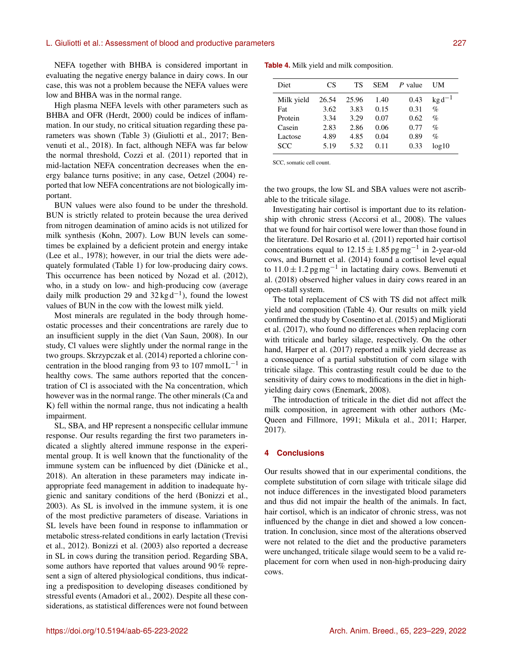# L. Giuliotti et al.: Assessment of blood and productive parameters 227

NEFA together with BHBA is considered important in evaluating the negative energy balance in dairy cows. In our case, this was not a problem because the NEFA values were low and BHBA was in the normal range.

High plasma NEFA levels with other parameters such as BHBA and OFR (Herdt, 2000) could be indices of inflammation. In our study, no critical situation regarding these parameters was shown (Table 3) (Giuliotti et al., 2017; Benvenuti et al., 2018). In fact, although NEFA was far below the normal threshold, Cozzi et al. (2011) reported that in mid-lactation NEFA concentration decreases when the energy balance turns positive; in any case, Oetzel (2004) reported that low NEFA concentrations are not biologically important.

BUN values were also found to be under the threshold. BUN is strictly related to protein because the urea derived from nitrogen deamination of amino acids is not utilized for milk synthesis (Kohn, 2007). Low BUN levels can sometimes be explained by a deficient protein and energy intake (Lee et al., 1978); however, in our trial the diets were adequately formulated (Table 1) for low-producing dairy cows. This occurrence has been noticed by Nozad et al. (2012), who, in a study on low- and high-producing cow (average daily milk production 29 and  $32 \text{ kg d}^{-1}$ ), found the lowest values of BUN in the cow with the lowest milk yield.

Most minerals are regulated in the body through homeostatic processes and their concentrations are rarely due to an insufficient supply in the diet (Van Saun, 2008). In our study, Cl values were slightly under the normal range in the two groups. Skrzypczak et al. (2014) reported a chlorine concentration in the blood ranging from 93 to 107 mmol  $L^{-1}$  in healthy cows. The same authors reported that the concentration of Cl is associated with the Na concentration, which however was in the normal range. The other minerals (Ca and K) fell within the normal range, thus not indicating a health impairment.

SL, SBA, and HP represent a nonspecific cellular immune response. Our results regarding the first two parameters indicated a slightly altered immune response in the experimental group. It is well known that the functionality of the immune system can be influenced by diet (Dänicke et al., 2018). An alteration in these parameters may indicate inappropriate feed management in addition to inadequate hygienic and sanitary conditions of the herd (Bonizzi et al., 2003). As SL is involved in the immune system, it is one of the most predictive parameters of disease. Variations in SL levels have been found in response to inflammation or metabolic stress-related conditions in early lactation (Trevisi et al., 2012). Bonizzi et al. (2003) also reported a decrease in SL in cows during the transition period. Regarding SBA, some authors have reported that values around 90 % represent a sign of altered physiological conditions, thus indicating a predisposition to developing diseases conditioned by stressful events (Amadori et al., 2002). Despite all these considerations, as statistical differences were not found between **Table 4.** Milk yield and milk composition.

| Diet       | CS    | TS    | SEM  | P value | UM          |
|------------|-------|-------|------|---------|-------------|
| Milk yield | 26.54 | 25.96 | 1.40 | 0.43    | $kg d^{-1}$ |
| Fat        | 3.62  | 3.83  | 0.15 | 0.31    | $\%$        |
| Protein    | 3.34  | 3.29  | 0.07 | 0.62    | $\%$        |
| Casein     | 2.83  | 2.86  | 0.06 | 0.77    | $\%$        |
| Lactose    | 4.89  | 4.85  | 0.04 | 0.89    | %           |
| <b>SCC</b> | 5.19  | 5.32  | 0.11 | 0.33    | log10       |

SCC, somatic cell count.

the two groups, the low SL and SBA values were not ascribable to the triticale silage.

Investigating hair cortisol is important due to its relationship with chronic stress (Accorsi et al., 2008). The values that we found for hair cortisol were lower than those found in the literature. Del Rosario et al. (2011) reported hair cortisol concentrations equal to  $12.15 \pm 1.85$  pg mg<sup>-1</sup> in 2-year-old cows, and Burnett et al. (2014) found a cortisol level equal to  $11.0 \pm 1.2$  pg mg<sup>-1</sup> in lactating dairy cows. Benvenuti et al. (2018) observed higher values in dairy cows reared in an open-stall system.

The total replacement of CS with TS did not affect milk yield and composition (Table 4). Our results on milk yield confirmed the study by Cosentino et al. (2015) and Migliorati et al. (2017), who found no differences when replacing corn with triticale and barley silage, respectively. On the other hand, Harper et al. (2017) reported a milk yield decrease as a consequence of a partial substitution of corn silage with triticale silage. This contrasting result could be due to the sensitivity of dairy cows to modifications in the diet in highyielding dairy cows (Enemark, 2008).

The introduction of triticale in the diet did not affect the milk composition, in agreement with other authors (Mc-Queen and Fillmore, 1991; Mikula et al., 2011; Harper, 2017).

# **4 Conclusions**

Our results showed that in our experimental conditions, the complete substitution of corn silage with triticale silage did not induce differences in the investigated blood parameters and thus did not impair the health of the animals. In fact, hair cortisol, which is an indicator of chronic stress, was not influenced by the change in diet and showed a low concentration. In conclusion, since most of the alterations observed were not related to the diet and the productive parameters were unchanged, triticale silage would seem to be a valid replacement for corn when used in non-high-producing dairy cows.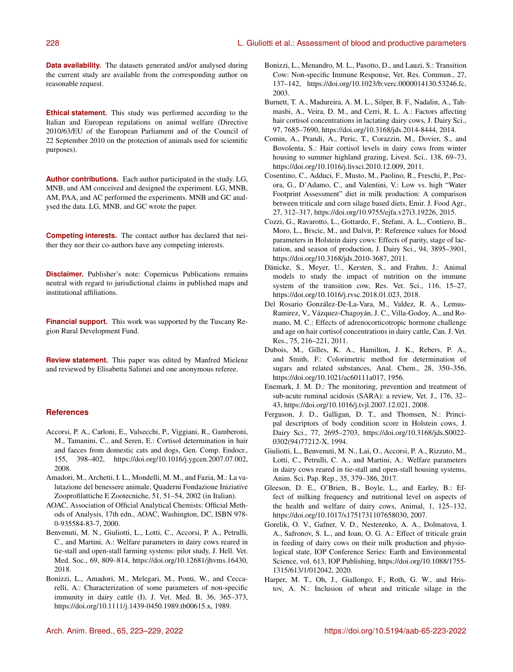**Data availability.** The datasets generated and/or analysed during the current study are available from the corresponding author on reasonable request.

**Ethical statement.** This study was performed according to the Italian and European regulations on animal welfare (Directive 2010/63/EU of the European Parliament and of the Council of 22 September 2010 on the protection of animals used for scientific purposes).

**Author contributions.** Each author participated in the study. LG, MNB, and AM conceived and designed the experiment. LG, MNB, AM, PAA, and AC performed the experiments. MNB and GC analysed the data. LG, MNB, and GC wrote the paper.

**Competing interests.** The contact author has declared that neither they nor their co-authors have any competing interests.

**Disclaimer.** Publisher's note: Copernicus Publications remains neutral with regard to jurisdictional claims in published maps and institutional affiliations.

**Financial support.** This work was supported by the Tuscany Region Rural Development Fund.

**Review statement.** This paper was edited by Manfred Mielenz and reviewed by Elisabetta Salimei and one anonymous referee.

# **References**

- Accorsi, P. A., Carloni, E., Valsecchi, P., Viggiani, R., Gamberoni, M., Tamanini, C., and Seren, E.: Cortisol determination in hair and faeces from domestic cats and dogs, Gen. Comp. Endocr., 155, 398–402, https://doi.org[/10.1016/j.ygcen.2007.07.002,](https://doi.org/10.1016/j.ygcen.2007.07.002) 2008.
- Amadori, M., Archetti, I. L., Mondelli, M. M., and Fazia, M.: La valutazione del benessere animale, Quaderni Fondazione Iniziative Zooprofilattiche E Zootecniche, 51, 51–54, 2002 (in Italian).
- AOAC, Association of Official Analytical Chemists: Official Methods of Analysis, 17th edn., AOAC, Washington, DC, ISBN 978- 0-935584-83-7, 2000.
- Benvenuti, M. N., Giuliotti, L., Lotti, C., Accorsi, P. A., Petrulli, C., and Martini, A.: Welfare parameters in dairy cows reared in tie-stall and open-stall farming systems: pilot study, J. Hell. Vet. Med. Soc., 69, 809–814, https://doi.org[/10.12681/jhvms.16430,](https://doi.org/10.12681/jhvms.16430) 2018.
- Bonizzi, L., Amadori, M., Melegari, M., Ponti, W., and Ceccarelli, A.: Characterization of some parameters of non-specific immunity in dairy cattle (I), J. Vet. Med. B, 36, 365–373, https://doi.org[/10.1111/j.1439-0450.1989.tb00615.x,](https://doi.org/10.1111/j.1439-0450.1989.tb00615.x) 1989.
- Bonizzi, L., Menandro, M. L., Pasotto, D., and Lauzi, S.: Transition Cow: Non-specific Immune Response, Vet. Res. Commun., 27, 137–142, https://doi.org[/10.1023/b:verc.0000014130.53246.fc,](https://doi.org/10.1023/b:verc.0000014130.53246.fc) 2003.
- Burnett, T. A., Madureira, A. M. L., Silper, B. F., Nadalin, A., Tahmasbi, A., Veira, D. M., and Cerri, R. L. A.: Factors affecting hair cortisol concentrations in lactating dairy cows, J. Dairy Sci., 97, 7685–7690, https://doi.org[/10.3168/jds.2014-8444,](https://doi.org/10.3168/jds.2014-8444) 2014.
- Comin, A., Prandi, A., Peric, T., Corazzin, M., Dovier, S., and Bovolenta, S.: Hair cortisol levels in dairy cows from winter housing to summer highland grazing, Livest. Sci., 138, 69-73, https://doi.org[/10.1016/j.livsci.2010.12.009,](https://doi.org/10.1016/j.livsci.2010.12.009) 2011.
- Cosentino, C., Adduci, F., Musto, M., Paolino, R., Freschi, P., Pecora, G., D'Adamo, C., and Valentini, V.: Low vs. high "Water Footprint Assessment" diet in milk production: A comparison between triticale and corn silage based diets, Emir. J. Food Agr., 27, 312–317, https://doi.org[/10.9755/ejfa.v27i3.19226,](https://doi.org/10.9755/ejfa.v27i3.19226) 2015.
- Cozzi, G., Ravarotto, L., Gottardo, F., Stefani, A. L., Contiero, B., Moro, L., Brscic, M., and Dalvit, P.: Reference values for blood parameters in Holstein dairy cows: Effects of parity, stage of lactation, and season of production, J. Dairy Sci., 94, 3895–3901, https://doi.org[/10.3168/jds.2010-3687,](https://doi.org/10.3168/jds.2010-3687) 2011.
- Dänicke, S., Meyer, U., Kersten, S., and Frahm, J.: Animal models to study the impact of nutrition on the immune system of the transition cow, Res. Vet. Sci., 116, 15–27, https://doi.org[/10.1016/j.rvsc.2018.01.023,](https://doi.org/10.1016/j.rvsc.2018.01.023) 2018.
- Del Rosario González-De-La-Vara, M., Valdez, R. A., Lemus-Ramirez, V., Vázquez-Chagoyán, J. C., Villa-Godoy, A., and Romano, M. C.: Effects of adrenocorticotropic hormone challenge and age on hair cortisol concentrations in dairy cattle, Can. J. Vet. Res., 75, 216–221, 2011.
- Dubois, M., Gilles, K. A., Hamilton, J. K., Rebers, P. A., and Smith, F.: Colorimetric method for determination of sugars and related substances, Anal. Chem., 28, 350–356, https://doi.org[/10.1021/ac60111a017,](https://doi.org/10.1021/ac60111a017) 1956.
- Enemark, J. M. D.: The monitoring, prevention and treatment of sub-acute ruminal acidosis (SARA): a review, Vet. J., 176, 32– 43, https://doi.org[/10.1016/j.tvjl.2007.12.021,](https://doi.org/10.1016/j.tvjl.2007.12.021) 2008.
- Ferguson, J. D., Galligan, D. T., and Thomsen, N.: Principal descriptors of body condition score in Holstein cows, J. Dairy Sci., 77, 2695–2703, https://doi.org[/10.3168/jds.S0022-](https://doi.org/10.3168/jds.S0022-0302(94)77212-X) [0302\(94\)77212-X,](https://doi.org/10.3168/jds.S0022-0302(94)77212-X) 1994.
- Giuliotti, L., Benvenuti, M. N., Lai, O., Accorsi, P. A., Rizzuto, M., Lotti, C., Petrulli, C. A., and Martini, A.: Welfare parameters in dairy cows reared in tie-stall and open-stall housing systems, Anim. Sci. Pap. Rep., 35, 379–386, 2017.
- Gleeson, D. E., O'Brien, B., Boyle, L., and Earley, B.: Effect of milking frequency and nutritional level on aspects of the health and welfare of dairy cows, Animal, 1, 125–132, https://doi.org[/10.1017/s1751731107658030,](https://doi.org/10.1017/s1751731107658030) 2007.
- Gorelik, O. V., Gafner, V. D., Nesterenko, A. A., Dolmatova, I. A., Safronov, S. L., and Ioan, O. G. A.: Effect of triticale grain in feeding of dairy cows on their milk production and physiological state, IOP Conference Series: Earth and Environmental Science, vol. 613, IOP Publishing, https://doi.org[/10.1088/1755-](https://doi.org/10.1088/1755-1315/613/1/012042) [1315/613/1/012042,](https://doi.org/10.1088/1755-1315/613/1/012042) 2020.
- Harper, M. T., Oh, J., Giallongo, F., Roth, G. W., and Hristov, A. N.: Inclusion of wheat and triticale silage in the